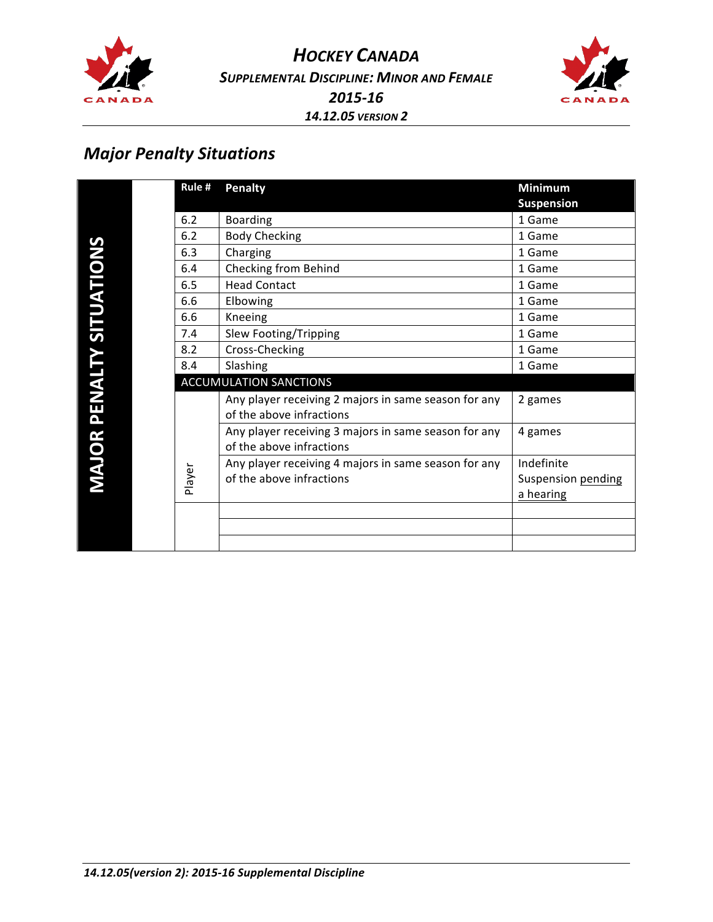

*HOCKEY CANADA SUPPLEMENTAL DISCIPLINE: MINOR AND FEMALE 2015-16 14.12.05 VERSION 2*



### *Major Penalty Situations*

|                                  |  | Rule $#$                      | <b>Penalty</b>                                       | <b>Minimum</b>     |  |
|----------------------------------|--|-------------------------------|------------------------------------------------------|--------------------|--|
| <b>VIAJOR PENALTY SITUATIONS</b> |  |                               |                                                      | <b>Suspension</b>  |  |
|                                  |  | 6.2                           | <b>Boarding</b>                                      | 1 Game             |  |
|                                  |  | 6.2                           | <b>Body Checking</b>                                 | 1 Game             |  |
|                                  |  | 6.3                           | Charging                                             | 1 Game             |  |
|                                  |  | 6.4                           | Checking from Behind                                 | 1 Game             |  |
|                                  |  | 6.5                           | <b>Head Contact</b>                                  | 1 Game             |  |
|                                  |  | 6.6                           | Elbowing                                             | 1 Game             |  |
|                                  |  | 6.6                           | Kneeing                                              | 1 Game             |  |
|                                  |  | 7.4                           | Slew Footing/Tripping                                | 1 Game             |  |
|                                  |  | 8.2                           | Cross-Checking                                       | 1 Game             |  |
|                                  |  | 8.4                           | Slashing                                             | 1 Game             |  |
|                                  |  | <b>ACCUMULATION SANCTIONS</b> |                                                      |                    |  |
|                                  |  |                               | Any player receiving 2 majors in same season for any | 2 games            |  |
|                                  |  |                               | of the above infractions                             |                    |  |
|                                  |  |                               | Any player receiving 3 majors in same season for any | 4 games            |  |
|                                  |  | Player                        | of the above infractions                             |                    |  |
|                                  |  |                               | Any player receiving 4 majors in same season for any | Indefinite         |  |
|                                  |  |                               | of the above infractions                             | Suspension pending |  |
|                                  |  |                               |                                                      | a hearing          |  |
|                                  |  |                               |                                                      |                    |  |
|                                  |  |                               |                                                      |                    |  |
|                                  |  |                               |                                                      |                    |  |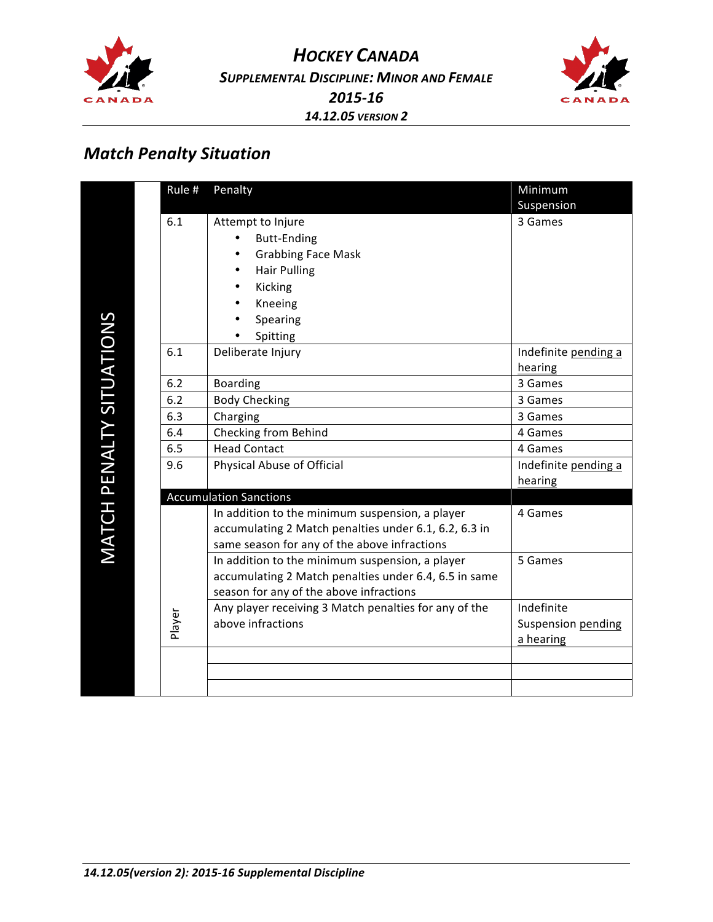



# *Match Penalty Situation*

|                          | Rule # | Penalty                                               | Minimum                   |
|--------------------------|--------|-------------------------------------------------------|---------------------------|
|                          |        |                                                       | Suspension                |
|                          | 6.1    | Attempt to Injure                                     | 3 Games                   |
|                          |        | <b>Butt-Ending</b>                                    |                           |
|                          |        | <b>Grabbing Face Mask</b>                             |                           |
|                          |        | <b>Hair Pulling</b>                                   |                           |
|                          |        | Kicking                                               |                           |
|                          |        | Kneeing                                               |                           |
|                          |        | Spearing                                              |                           |
|                          |        | Spitting                                              |                           |
|                          | 6.1    | Deliberate Injury                                     | Indefinite pending a      |
|                          |        |                                                       | hearing                   |
|                          | 6.2    | <b>Boarding</b>                                       | 3 Games                   |
|                          | 6.2    | <b>Body Checking</b>                                  | 3 Games                   |
|                          | 6.3    | Charging                                              | 3 Games                   |
| MATCH PENALTY SITUATIONS | 6.4    | Checking from Behind                                  | 4 Games                   |
|                          | 6.5    | <b>Head Contact</b>                                   | 4 Games                   |
|                          | 9.6    | Physical Abuse of Official                            | Indefinite pending a      |
|                          |        |                                                       | hearing                   |
|                          |        | <b>Accumulation Sanctions</b>                         |                           |
|                          |        | In addition to the minimum suspension, a player       | 4 Games                   |
|                          |        | accumulating 2 Match penalties under 6.1, 6.2, 6.3 in |                           |
|                          |        | same season for any of the above infractions          |                           |
|                          |        | In addition to the minimum suspension, a player       | 5 Games                   |
|                          |        | accumulating 2 Match penalties under 6.4, 6.5 in same |                           |
|                          |        | season for any of the above infractions               |                           |
|                          |        | Any player receiving 3 Match penalties for any of the | Indefinite                |
|                          | Player | above infractions                                     | <b>Suspension pending</b> |
|                          |        |                                                       | a hearing                 |
|                          |        |                                                       |                           |
|                          |        |                                                       |                           |
|                          |        |                                                       |                           |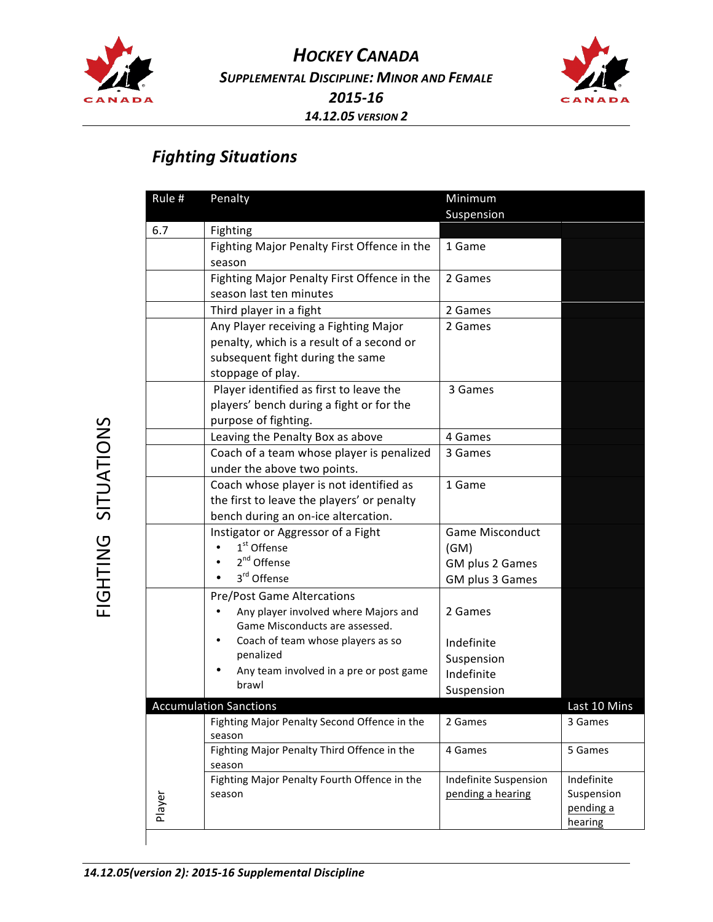



#### *Fighting Situations*

| Rule $#$ | Penalty                                      | Minimum                |                         |
|----------|----------------------------------------------|------------------------|-------------------------|
|          |                                              | Suspension             |                         |
| 6.7      | Fighting                                     |                        |                         |
|          | Fighting Major Penalty First Offence in the  | 1 Game                 |                         |
|          | season                                       |                        |                         |
|          | Fighting Major Penalty First Offence in the  | 2 Games                |                         |
|          | season last ten minutes                      |                        |                         |
|          | Third player in a fight                      | 2 Games                |                         |
|          | Any Player receiving a Fighting Major        | 2 Games                |                         |
|          | penalty, which is a result of a second or    |                        |                         |
|          | subsequent fight during the same             |                        |                         |
|          | stoppage of play.                            |                        |                         |
|          | Player identified as first to leave the      | 3 Games                |                         |
|          | players' bench during a fight or for the     |                        |                         |
|          | purpose of fighting.                         |                        |                         |
|          | Leaving the Penalty Box as above             | 4 Games                |                         |
|          | Coach of a team whose player is penalized    | 3 Games                |                         |
|          | under the above two points.                  |                        |                         |
|          | Coach whose player is not identified as      | 1 Game                 |                         |
|          | the first to leave the players' or penalty   |                        |                         |
|          | bench during an on-ice altercation.          |                        |                         |
|          | Instigator or Aggressor of a Fight           | <b>Game Misconduct</b> |                         |
|          | 1 <sup>st</sup> Offense                      | (GM)                   |                         |
|          | 2 <sup>nd</sup> Offense                      | GM plus 2 Games        |                         |
|          | 3 <sup>rd</sup> Offense                      | GM plus 3 Games        |                         |
|          | <b>Pre/Post Game Altercations</b>            |                        |                         |
|          | Any player involved where Majors and         | 2 Games                |                         |
|          | Game Misconducts are assessed.               |                        |                         |
|          | Coach of team whose players as so<br>٠       | Indefinite             |                         |
|          | penalized                                    | Suspension             |                         |
|          | Any team involved in a pre or post game      | Indefinite             |                         |
|          | brawl                                        | Suspension             |                         |
|          | <b>Accumulation Sanctions</b>                |                        | Last 10 Mins            |
|          | Fighting Major Penalty Second Offence in the | 2 Games                | 3 Games                 |
|          | season                                       |                        |                         |
|          | Fighting Major Penalty Third Offence in the  | 4 Games                | 5 Games                 |
|          | season                                       |                        |                         |
|          | Fighting Major Penalty Fourth Offence in the | Indefinite Suspension  | Indefinite              |
| Player   | season                                       | pending a hearing      | Suspension<br>pending a |
|          |                                              |                        | hearing                 |